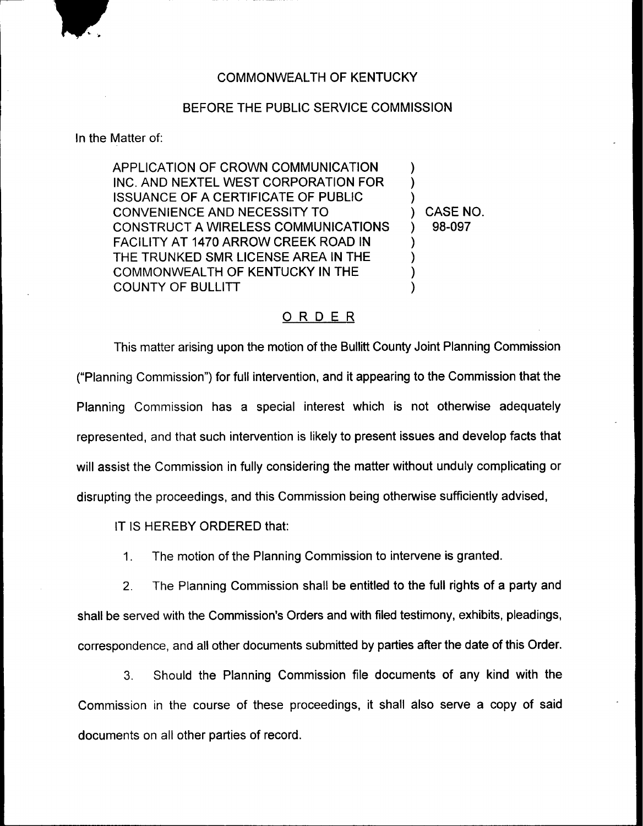

## COMMONWEALTH OF KENTUCKY

## BEFORE THE PUBLIC SERVICE COMMISSION

In the Matter of:

APPLICATION OF CROWN COMMUNICATION INC. AND NEXTEL WEST CORPORATION FOR ISSUANCE OF A CERTIFICATE OF PUBLIC CONVENIENCE AND NECESSITY TO CONSTRUCT A WIRELESS COMMUNICATIONS FACILITY AT 1470 ARROW CREEK ROAD IN THE TRUNKED SMR LICENSE AREA IN THE COMMONWEALTH OF KENTUCKY IN THE COUNTY OF BULLITT ) ) ) ) CASE NO. ) 98-097 ) ) ) )

## ORDER

This matter arising upon the motion of the Bullitt County Joint Planning Commission ("Planning Commission") for full intervention, and it appearing to the Commission that the Planning Commission has a special interest which is not otherwise adequately represented, and that such intervention is likely to present issues and develop facts that will assist the Commission in fully considering the matter without unduly complicating or disrupting the proceedings, and this Commission being otherwise sufficiently advised,

IT IS HEREBY ORDERED that:

 $1<sub>1</sub>$ The motion of the Planning Commission to intervene is granted.

2. The Planning Commission shall be entitled to the full rights of a party and shall be served with the Commission's Orders and with filed testimony, exhibits, pleadings, correspondence, and all other documents submitted by parties after the date of this Order.

3. Should the Planning Commission file documents of any kind with the Commission in the course of these proceedings, it shall also serve a copy of said documents on all other parties of record.